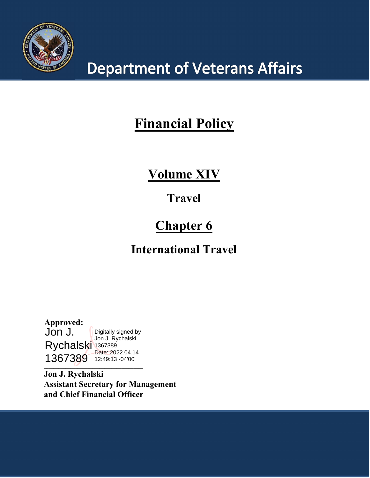

# **Department of Veterans Affairs**

# **Financial Policy**

### **Volume XIV**

### **Travel**

## **Chapter 6**

### **International Travel**

**Approved:** Jon J. Rychalski 1367389 1367389 12:49:13 -04'00'Digitally signed by Jon J. Rychalski Date: 2022.04.14

**\_\_\_\_\_\_\_\_\_\_\_\_\_\_\_\_\_\_\_\_\_\_\_\_\_\_\_\_\_\_\_\_\_\_\_\_\_\_\_\_\_**

**Jon J. Rychalski Assistant Secretary for Management and Chief Financial Officer**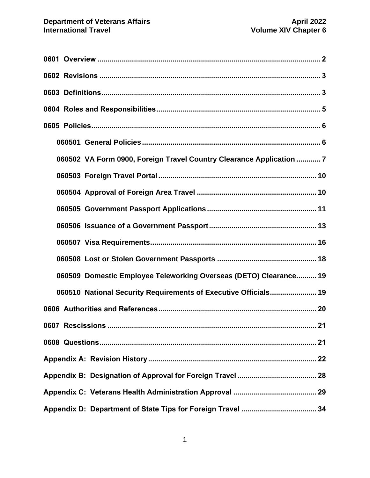| 060502 VA Form 0900, Foreign Travel Country Clearance Application 7 |
|---------------------------------------------------------------------|
|                                                                     |
|                                                                     |
|                                                                     |
|                                                                     |
|                                                                     |
|                                                                     |
| 060509 Domestic Employee Teleworking Overseas (DETO) Clearance 19   |
| 060510 National Security Requirements of Executive Officials 19     |
|                                                                     |
| .21                                                                 |
|                                                                     |
|                                                                     |
|                                                                     |
|                                                                     |
|                                                                     |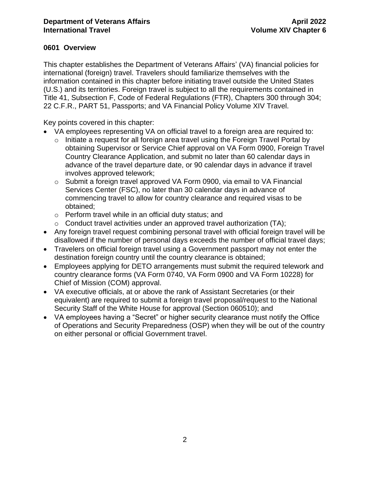#### <span id="page-2-0"></span>**0601 Overview**

This chapter establishes the Department of Veterans Affairs' (VA) financial policies for international (foreign) travel. Travelers should familiarize themselves with the information contained in this chapter before initiating travel outside the United States (U.S.) and its territories. Foreign travel is subject to all the requirements contained in Title 41, Subsection F, Code of Federal Regulations (FTR), Chapters 300 through 304; 22 C.F.R., PART 51, Passports; and VA Financial Policy Volume XIV Travel.

Key points covered in this chapter:

- VA employees representing VA on official travel to a foreign area are required to:
	- $\circ$  Initiate a request for all foreign area travel using the Foreign Travel Portal by obtaining Supervisor or Service Chief approval on VA Form 0900, Foreign Travel Country Clearance Application, and submit no later than 60 calendar days in advance of the travel departure date, or 90 calendar days in advance if travel involves approved telework;
	- o Submit a foreign travel approved VA Form 0900, via email to VA Financial Services Center (FSC), no later than 30 calendar days in advance of commencing travel to allow for country clearance and required visas to be obtained;
	- o Perform travel while in an official duty status; and
	- $\circ$  Conduct travel activities under an approved travel authorization (TA);
- Any foreign travel request combining personal travel with official foreign travel will be disallowed if the number of personal days exceeds the number of official travel days;
- Travelers on official foreign travel using a Government passport may not enter the destination foreign country until the country clearance is obtained;
- Employees applying for DETO arrangements must submit the required telework and country clearance forms (VA Form 0740, VA Form 0900 and VA Form 10228) for Chief of Mission (COM) approval.
- VA executive officials, at or above the rank of Assistant Secretaries (or their equivalent) are required to submit a foreign travel proposal/request to the National Security Staff of the White House for approval (Section 060510); and
- VA employees having a "Secret" or higher security clearance must notify the Office of Operations and Security Preparedness (OSP) when they will be out of the country on either personal or official Government travel.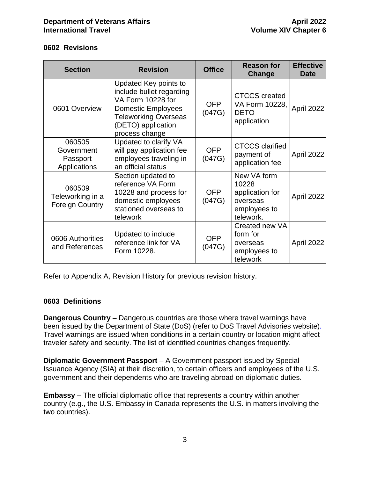#### <span id="page-3-0"></span>**0602 Revisions**

| <b>Section</b>                                       | <b>Revision</b>                                                                                                                                                            | <b>Office</b>        | <b>Reason for</b><br>Change                                                      | <b>Effective</b><br><b>Date</b> |
|------------------------------------------------------|----------------------------------------------------------------------------------------------------------------------------------------------------------------------------|----------------------|----------------------------------------------------------------------------------|---------------------------------|
| 0601 Overview                                        | Updated Key points to<br>include bullet regarding<br>VA Form 10228 for<br><b>Domestic Employees</b><br><b>Teleworking Overseas</b><br>(DETO) application<br>process change | <b>OFP</b><br>(047G) | <b>CTCCS</b> created<br>VA Form 10228,<br><b>DETO</b><br>application             | April 2022                      |
| 060505<br>Government<br>Passport<br>Applications     | Updated to clarify VA<br>will pay application fee<br>employees traveling in<br>an official status                                                                          | <b>OFP</b><br>(047G) | <b>CTCCS</b> clarified<br>payment of<br>application fee                          | April 2022                      |
| 060509<br>Teleworking in a<br><b>Foreign Country</b> | Section updated to<br>reference VA Form<br>10228 and process for<br>domestic employees<br>stationed overseas to<br>telework                                                | <b>OFP</b><br>(047G) | New VA form<br>10228<br>application for<br>overseas<br>employees to<br>telework. | April 2022                      |
| 0606 Authorities<br>and References                   | Updated to include<br>reference link for VA<br>Form 10228.                                                                                                                 | <b>OFP</b><br>(047G) | Created new VA<br>form for<br>overseas<br>employees to<br>telework               | April 2022                      |

Refer to Appendix A, Revision History for previous revision history.

#### <span id="page-3-1"></span>**0603 Definitions**

**Dangerous Country** – Dangerous countries are those where travel warnings have been issued by the Department of State (DoS) (refer to DoS Travel Advisories website). Travel warnings are issued when conditions in a certain country or location might affect traveler safety and security. The list of identified countries changes frequently.

**Diplomatic Government Passport** – A Government passport issued by Special Issuance Agency (SIA) at their discretion, to certain officers and employees of the U.S. government and their dependents who are traveling abroad on diplomatic duties.

**Embassy** – The official diplomatic office that represents a country within another country (e.g., the U.S. Embassy in Canada represents the U.S. in matters involving the two countries).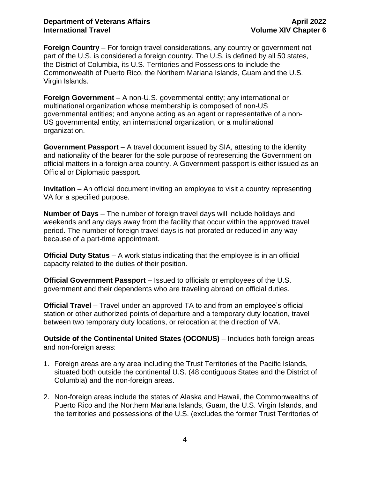#### **Department of Veterans Affairs April 2022 International Travel <b>Volume** XIV Chapter 6

**Foreign Country** – For foreign travel considerations, any country or government not part of the U.S. is considered a foreign country. The U.S. is defined by all 50 states, the District of Columbia, its U.S. Territories and Possessions to include the Commonwealth of Puerto Rico, the Northern Mariana Islands, Guam and the U.S. Virgin Islands.

**Foreign Government** – A non-U.S. governmental entity; any international or multinational organization whose membership is composed of non-US governmental entities; and anyone acting as an agent or representative of a non-US governmental entity, an international organization, or a multinational organization.

**Government Passport** – A travel document issued by SIA, attesting to the identity and nationality of the bearer for the sole purpose of representing the Government on official matters in a foreign area country. A Government passport is either issued as an Official or Diplomatic passport.

**Invitation** – An official document inviting an employee to visit a country representing VA for a specified purpose.

**Number of Days** – The number of foreign travel days will include holidays and weekends and any days away from the facility that occur within the approved travel period. The number of foreign travel days is not prorated or reduced in any way because of a part-time appointment.

**Official Duty Status** – A work status indicating that the employee is in an official capacity related to the duties of their position.

**Official Government Passport** – Issued to officials or employees of the U.S. government and their dependents who are traveling abroad on official duties.

**Official Travel** – Travel under an approved TA to and from an employee's official station or other authorized points of departure and a temporary duty location, travel between two temporary duty locations, or relocation at the direction of VA.

**Outside of the Continental United States (OCONUS)** – Includes both foreign areas and non-foreign areas:

- 1. Foreign areas are any area including the Trust Territories of the Pacific Islands, situated both outside the continental U.S. (48 contiguous States and the District of Columbia) and the non-foreign areas.
- <span id="page-4-0"></span>2. Non-foreign areas include the states of Alaska and Hawaii, the Commonwealths of Puerto Rico and the Northern Mariana Islands, Guam, the U.S. Virgin Islands, and the territories and possessions of the U.S. (excludes the former Trust Territories of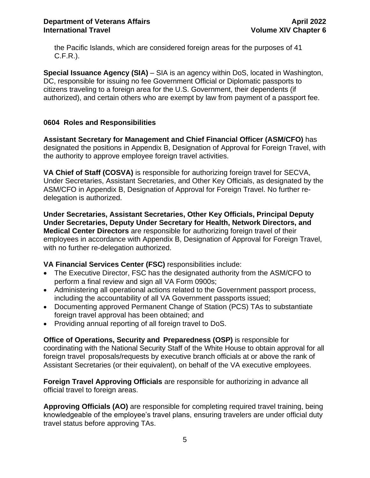the Pacific Islands, which are considered foreign areas for the purposes of 41 C.F.R.).

**Special Issuance Agency (SIA)** – SIA is an agency within DoS, located in Washington, DC, responsible for issuing no fee Government Official or Diplomatic passports to citizens traveling to a foreign area for the U.S. Government, their dependents (if authorized), and certain others who are exempt by law from payment of a passport fee.

#### <span id="page-5-0"></span>**0604 Roles and Responsibilities**

**Assistant Secretary for Management and Chief Financial Officer (ASM/CFO)** has designated the positions in Appendix B, Designation of Approval for Foreign Travel, with the authority to approve employee foreign travel activities.

**VA Chief of Staff (COSVA)** is responsible for authorizing foreign travel for SECVA, Under Secretaries, Assistant Secretaries, and Other Key Officials, as designated by the ASM/CFO in Appendix B, Designation of Approval for Foreign Travel. No further redelegation is authorized.

**Under Secretaries, Assistant Secretaries, Other Key Officials, Principal Deputy Under Secretaries, Deputy Under Secretary for Health, Network Directors, and Medical Center Directors** are responsible for authorizing foreign travel of their employees in accordance with Appendix B, Designation of Approval for Foreign Travel, with no further re-delegation authorized.

**VA Financial Services Center (FSC)** responsibilities include:

- The Executive Director, FSC has the designated authority from the ASM/CFO to perform a final review and sign all VA Form 0900s;
- Administering all operational actions related to the Government passport process, including the accountability of all VA Government passports issued;
- Documenting approved Permanent Change of Station (PCS) TAs to substantiate foreign travel approval has been obtained; and
- Providing annual reporting of all foreign travel to DoS.

**Office of Operations, Security and Preparedness (OSP)** is responsible for coordinating with the National Security Staff of the White House to obtain approval for all foreign travel proposals/requests by executive branch officials at or above the rank of Assistant Secretaries (or their equivalent), on behalf of the VA executive employees.

**Foreign Travel Approving Officials** are responsible for authorizing in advance all official travel to foreign areas.

**Approving Officials (AO)** are responsible for completing required travel training, being knowledgeable of the employee's travel plans, ensuring travelers are under official duty travel status before approving TAs.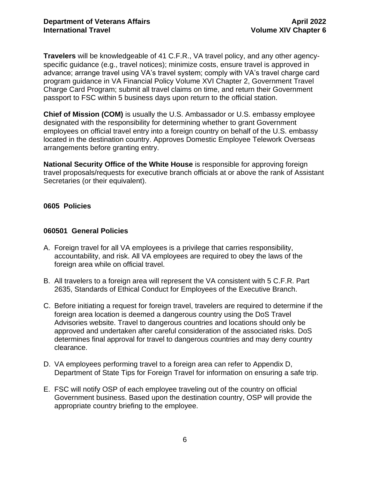**Travelers** will be knowledgeable of 41 C.F.R., VA travel policy, and any other agencyspecific guidance (e.g., travel notices); minimize costs, ensure travel is approved in advance; arrange travel using VA's travel system; comply with VA's travel charge card program guidance in VA Financial Policy Volume XVI Chapter 2, Government Travel Charge Card Program; submit all travel claims on time, and return their Government passport to FSC within 5 business days upon return to the official station.

**Chief of Mission (COM)** is usually the U.S. Ambassador or U.S. embassy employee designated with the responsibility for determining whether to grant Government employees on official travel entry into a foreign country on behalf of the U.S. embassy located in the destination country. Approves Domestic Employee Telework Overseas arrangements before granting entry.

**National Security Office of the White House** is responsible for approving foreign travel proposals/requests for executive branch officials at or above the rank of Assistant Secretaries (or their equivalent).

#### <span id="page-6-0"></span>**0605 Policies**

#### <span id="page-6-1"></span>**060501 General Policies**

- A. Foreign travel for all VA employees is a privilege that carries responsibility, accountability, and risk. All VA employees are required to obey the laws of the foreign area while on official travel.
- B. All travelers to a foreign area will represent the VA consistent with 5 C.F.R. Part 2635, Standards of Ethical Conduct for Employees of the Executive Branch.
- C. Before initiating a request for foreign travel, travelers are required to determine if the foreign area location is deemed a dangerous country using the DoS Travel Advisories website. Travel to dangerous countries and locations should only be approved and undertaken after careful consideration of the associated risks. DoS determines final approval for travel to dangerous countries and may deny country clearance.
- D. VA employees performing travel to a foreign area can refer to Appendix D, Department of State Tips for Foreign Travel for information on ensuring a safe trip.
- E. FSC will notify OSP of each employee traveling out of the country on official Government business. Based upon the destination country, OSP will provide the appropriate country briefing to the employee.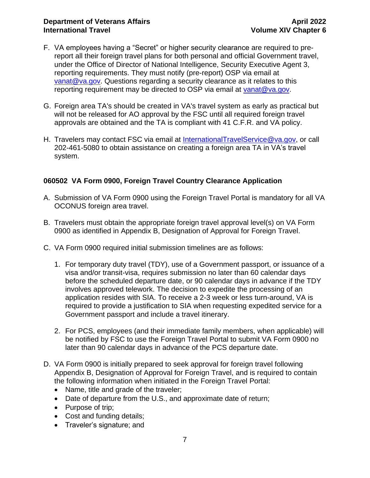- F. VA employees having a "Secret" or higher security clearance are required to prereport all their foreign travel plans for both personal and official Government travel, under the Office of Director of National Intelligence, Security Executive Agent 3, reporting requirements. They must notify (pre-report) OSP via email at [vanat@va.gov.](mailto:vanat@va.gov) Questions regarding a security clearance as it relates to this reporting requirement may be directed to OSP via email at [vanat@va.gov.](mailto:vanat@va.gov)
- G. Foreign area TA's should be created in VA's travel system as early as practical but will not be released for AO approval by the FSC until all required foreign travel approvals are obtained and the TA is compliant with 41 C.F.R. and VA policy.
- H. Travelers may contact FSC via email at [InternationalTravelService@va.gov,](mailto:InternationalTravelService@va.gov) or call 202-461-5080 to obtain assistance on creating a foreign area TA in VA's travel system.

#### <span id="page-7-0"></span>**060502 VA Form 0900, Foreign Travel Country Clearance Application**

- A. Submission of VA Form 0900 using the Foreign Travel Portal is mandatory for all VA OCONUS foreign area travel.
- B. Travelers must obtain the appropriate foreign travel approval level(s) on VA Form 0900 as identified in Appendix B, Designation of Approval for Foreign Travel.
- C. VA Form 0900 required initial submission timelines are as follows:
	- 1. For temporary duty travel (TDY), use of a Government passport, or issuance of a visa and/or transit-visa, requires submission no later than 60 calendar days before the scheduled departure date, or 90 calendar days in advance if the TDY involves approved telework. The decision to expedite the processing of an application resides with SIA. To receive a 2-3 week or less turn-around, VA is required to provide a justification to SIA when requesting expedited service for a Government passport and include a travel itinerary.
	- 2. For PCS, employees (and their immediate family members, when applicable) will be notified by FSC to use the Foreign Travel Portal to submit VA Form 0900 no later than 90 calendar days in advance of the PCS departure date.
- D. VA Form 0900 is initially prepared to seek approval for foreign travel following Appendix B, Designation of Approval for Foreign Travel, and is required to contain the following information when initiated in the Foreign Travel Portal:
	- Name, title and grade of the traveler;
	- Date of departure from the U.S., and approximate date of return;
	- Purpose of trip;
	- Cost and funding details;
	- Traveler's signature; and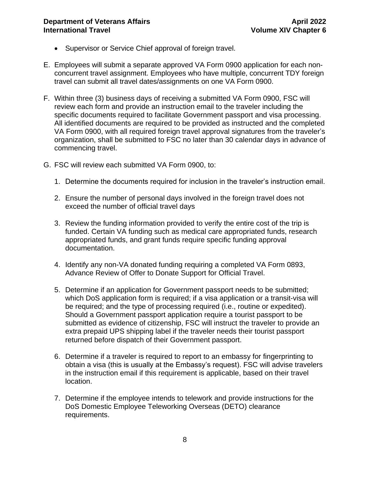- Supervisor or Service Chief approval of foreign travel.
- E. Employees will submit a separate approved VA Form 0900 application for each nonconcurrent travel assignment. Employees who have multiple, concurrent TDY foreign travel can submit all travel dates/assignments on one VA Form 0900.
- F. Within three (3) business days of receiving a submitted VA Form 0900, FSC will review each form and provide an instruction email to the traveler including the specific documents required to facilitate Government passport and visa processing. All identified documents are required to be provided as instructed and the completed VA Form 0900, with all required foreign travel approval signatures from the traveler's organization, shall be submitted to FSC no later than 30 calendar days in advance of commencing travel.
- G. FSC will review each submitted VA Form 0900, to:
	- 1. Determine the documents required for inclusion in the traveler's instruction email.
	- 2. Ensure the number of personal days involved in the foreign travel does not exceed the number of official travel days
	- 3. Review the funding information provided to verify the entire cost of the trip is funded. Certain VA funding such as medical care appropriated funds, research appropriated funds, and grant funds require specific funding approval documentation.
	- 4. Identify any non-VA donated funding requiring a completed VA Form 0893, Advance Review of Offer to Donate Support for Official Travel.
	- 5. Determine if an application for Government passport needs to be submitted; which DoS application form is required; if a visa application or a transit-visa will be required; and the type of processing required (i.e., routine or expedited). Should a Government passport application require a tourist passport to be submitted as evidence of citizenship, FSC will instruct the traveler to provide an extra prepaid UPS shipping label if the traveler needs their tourist passport returned before dispatch of their Government passport.
	- 6. Determine if a traveler is required to report to an embassy for fingerprinting to obtain a visa (this is usually at the Embassy's request). FSC will advise travelers in the instruction email if this requirement is applicable, based on their travel location.
	- 7. Determine if the employee intends to telework and provide instructions for the DoS Domestic Employee Teleworking Overseas (DETO) clearance requirements.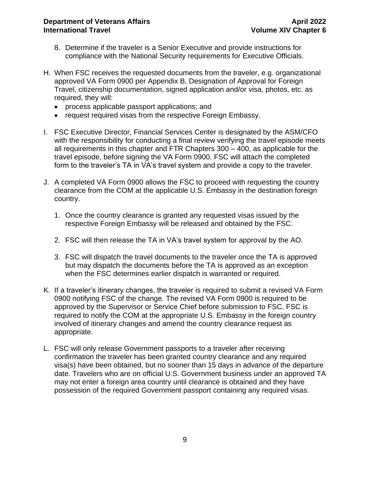- 8. Determine if the traveler is a Senior Executive and provide instructions for compliance with the National Security requirements for Executive Officials.
- H. When FSC receives the requested documents from the traveler, e.g. organizational approved VA Form 0900 per Appendix B, Designation of Approval for Foreign Travel, citizenship documentation, signed application and/or visa, photos, etc. as required, they will:
	- process applicable passport applications; and
	- request required visas from the respective Foreign Embassy.
- I. FSC Executive Director, Financial Services Center is designated by the ASM/CFO with the responsibility for conducting a final review verifying the travel episode meets all requirements in this chapter and FTR Chapters 300 – 400, as applicable for the travel episode, before signing the VA Form 0900. FSC will attach the completed form to the traveler's TA in VA's travel system and provide a copy to the traveler.
- J. A completed VA Form 0900 allows the FSC to proceed with requesting the country clearance from the COM at the applicable U.S. Embassy in the destination foreign country.
	- 1. Once the country clearance is granted any requested visas issued by the respective Foreign Embassy will be released and obtained by the FSC.
	- 2. FSC will then release the TA in VA's travel system for approval by the AO.
	- 3. FSC will dispatch the travel documents to the traveler once the TA is approved but may dispatch the documents before the TA is approved as an exception when the FSC determines earlier dispatch is warranted or required.
- K. If a traveler's itinerary changes, the traveler is required to submit a revised VA Form 0900 notifying FSC of the change. The revised VA Form 0900 is required to be approved by the Supervisor or Service Chief before submission to FSC. FSC is required to notify the COM at the appropriate U.S. Embassy in the foreign country involved of itinerary changes and amend the country clearance request as appropriate.
- L. FSC will only release Government passports to a traveler after receiving confirmation the traveler has been granted country clearance and any required visa(s) have been obtained, but no sooner than 15 days in advance of the departure date. Travelers who are on official U.S. Government business under an approved TA may not enter a foreign area country until clearance is obtained and they have possession of the required Government passport containing any required visas.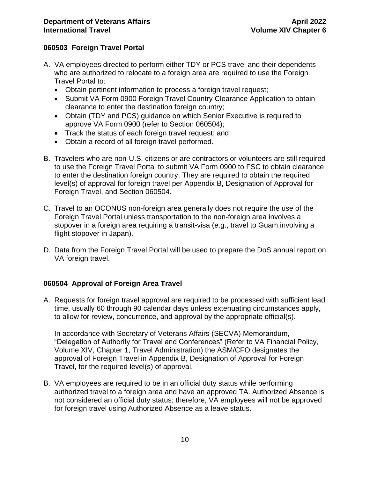#### <span id="page-10-0"></span>**060503 Foreign Travel Portal**

- A. VA employees directed to perform either TDY or PCS travel and their dependents who are authorized to relocate to a foreign area are required to use the Foreign Travel Portal to:
	- Obtain pertinent information to process a foreign travel request;
	- Submit VA Form 0900 Foreign Travel Country Clearance Application to obtain clearance to enter the destination foreign country;
	- Obtain (TDY and PCS) guidance on which Senior Executive is required to approve VA Form 0900 (refer to Section 060504);
	- Track the status of each foreign travel request; and
	- Obtain a record of all foreign travel performed.
- B. Travelers who are non-U.S. citizens or are contractors or volunteers are still required to use the [Foreign Travel Portal](http://vaww.oaa.med.va.gov/ForeignTravel/) to submit VA Form 0900 to FSC to obtain clearance to enter the destination foreign country. They are required to obtain the required level(s) of approval for foreign travel per Appendix B, Designation of Approval for Foreign Travel, and Section 060504.
- C. Travel to an OCONUS non-foreign area generally does not require the use of the Foreign Travel Portal unless transportation to the non-foreign area involves a stopover in a foreign area requiring a transit-visa (e.g., travel to Guam involving a flight stopover in Japan).
- D. Data from the Foreign Travel Portal will be used to prepare the DoS annual report on VA foreign travel.

#### <span id="page-10-1"></span>**060504 Approval of Foreign Area Travel**

A. Requests for foreign travel approval are required to be processed with sufficient lead time, usually 60 through 90 calendar days unless extenuating circumstances apply, to allow for review, concurrence, and approval by the appropriate official(s).

In accordance with Secretary of Veterans Affairs (SECVA) Memorandum, "Delegation of Authority for Travel and Conferences" (Refer to VA Financial Policy, Volume XIV, Chapter 1, Travel Administration) the ASM/CFO designates the approval of Foreign Travel in Appendix B, Designation of Approval for Foreign Travel, for the required level(s) of approval.

B. VA employees are required to be in an official duty status while performing authorized travel to a foreign area and have an approved TA. Authorized Absence is not considered an official duty status; therefore, VA employees will not be approved for foreign travel using Authorized Absence as a leave status.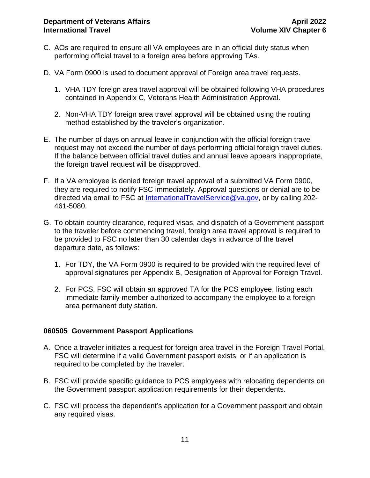- C. AOs are required to ensure all VA employees are in an official duty status when performing official travel to a foreign area before approving TAs.
- D. VA Form 0900 is used to [document approval of Foreign area travel requests.](https://vaww.va.gov/vaforms/va/pdf/VA0900.pdf)
	- 1. VHA TDY foreign area travel approval will be obtained following VHA procedures contained in Appendix C, Veterans Health Administration Approval.
	- 2. Non-VHA TDY foreign area travel approval will be obtained using the routing method established by the traveler's organization.
- E. The number of days on annual leave in conjunction with the official foreign travel request may not exceed the number of days performing official foreign travel duties. If the balance between official travel duties and annual leave appears inappropriate, the foreign travel request will be disapproved.
- F. If a VA employee is denied foreign travel approval of a submitted VA Form 0900, they are required to notify FSC immediately. Approval questions or denial are to be directed via email to FSC at [InternationalTravelService@va.gov,](mailto:InternationalTravelService@va.gov) or by calling 202-461-5080.
- G. To obtain country clearance, required visas, and dispatch of a Government passport to the traveler before commencing travel, foreign area travel approval is required to be provided to FSC no later than 30 calendar days in advance of the travel departure date, as follows:
	- 1. For TDY, the VA Form 0900 is required to be provided with the required level of approval signatures per Appendix B, Designation of Approval for Foreign Travel.
	- 2. For PCS, FSC will obtain an approved TA for the PCS employee, listing each immediate family member authorized to accompany the employee to a foreign area permanent duty station.

#### <span id="page-11-0"></span>**060505 Government Passport Applications**

- A. Once a traveler initiates a request for foreign area travel in the Foreign Travel Portal, FSC will determine if a valid Government passport exists, or if an application is required to be completed by the traveler.
- B. FSC will provide specific guidance to PCS employees with relocating dependents on the Government passport application requirements for their dependents.
- C. FSC will process the dependent's application for a Government passport and obtain any required visas.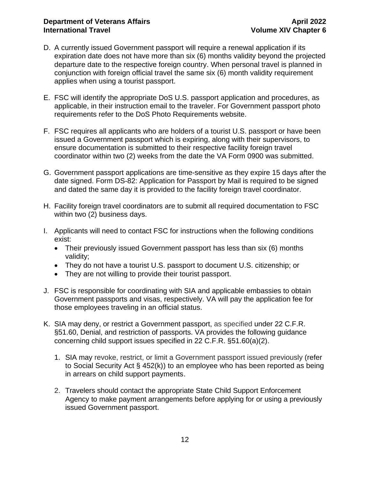#### **Department of Veterans Affairs April 2022 International Travel <b>Volume** XIV Chapter 6

- D. A currently issued Government passport will require a renewal application if its expiration date does not have more than six (6) months validity beyond the projected departure date to the respective foreign country. When personal travel is planned in conjunction with foreign official travel the same six (6) month validity requirement applies when using a tourist passport.
- E. FSC will identify the appropriate DoS U.S. passport application and procedures, as applicable, in their instruction email to the traveler. For Government passport photo requirements refer to the DoS Photo Requirements website.
- F. FSC requires all applicants who are holders of a tourist U.S. passport or have been issued a Government passport which is expiring, along with their supervisors, to ensure documentation is submitted to their respective facility foreign travel coordinator within two (2) weeks from the date the VA Form 0900 was submitted.
- G. Government passport applications are time-sensitive as they expire 15 days after the date signed. Form DS-82: Application for Passport by Mail is required to be signed and dated the same day it is provided to the facility foreign travel coordinator.
- H. Facility foreign travel coordinators are to submit all required documentation to FSC within two (2) business days.
- I. Applicants will need to contact FSC for instructions when the following conditions exist:
	- Their previously issued Government passport has less than six (6) months validity;
	- They do not have a tourist U.S. passport to document U.S. citizenship; or
	- They are not willing to provide their tourist passport.
- J. FSC is responsible for coordinating with SIA and applicable embassies to obtain Government passports and visas, respectively. VA will pay the application fee for those employees traveling in an official status.
- K. SIA may deny, or restrict a Government passport, as specified under 22 C.F.R. §51.60, Denial, and restriction of passports. VA provides the following guidance concerning child support issues specified in 22 C.F.R. §51.60(a)(2).
	- 1. SIA may revoke, restrict, or limit a Government passport issued previously (refer to Social Security Act § 452(k)) to an employee who has been reported as being in arrears on child support payments.
	- 2. Travelers should contact the appropriate State Child Support Enforcement Agency to make payment arrangements before applying for or using a previously issued Government passport.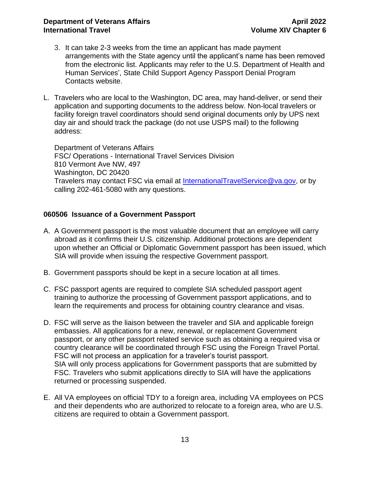#### **Department of Veterans Affairs April 2022 International Travel Volume XIV Chapter 6**

- 3. It can take 2-3 weeks from the time an applicant has made payment arrangements with the State agency until the applicant's name has been removed from the electronic list. Applicants may refer to the U.S. Department of Health and Human Services', State Child Support Agency Passport Denial Program Contacts website.
- L. Travelers who are local to the Washington, DC area, may hand-deliver, or send their application and supporting documents to the address below. Non-local travelers or facility foreign travel coordinators should send original documents only by UPS next day air and should track the package (do not use USPS mail) to the following address:

Department of Veterans Affairs FSC/ Operations - International Travel Services Division 810 Vermont Ave NW, 497 Washington, DC 20420 Travelers may contact FSC via email at [InternationalTravelService@va.gov,](mailto:InternationalTravelService@va.gov) or by calling 202-461-5080 with any questions.

#### <span id="page-13-0"></span>**060506 Issuance of a Government Passport**

- A. A Government passport is the most valuable document that an employee will carry abroad as it confirms their U.S. citizenship. Additional protections are dependent upon whether an Official or Diplomatic Government passport has been issued, which SIA will provide when issuing the respective Government passport.
- B. Government passports should be kept in a secure location at all times.
- C. FSC passport agents are required to complete SIA scheduled passport agent training to authorize the processing of Government passport applications, and to learn the requirements and process for obtaining country clearance and visas.
- D. FSC will serve as the liaison between the traveler and SIA and applicable foreign embassies. All applications for a new, renewal, or replacement Government passport, or any other passport related service such as obtaining a required visa or country clearance will be coordinated through FSC using the Foreign Travel Portal. FSC will not process an application for a traveler's tourist passport. SIA will only process applications for Government passports that are submitted by FSC. Travelers who submit applications directly to SIA will have the applications returned or processing suspended.
- E. All VA employees on official TDY to a foreign area, including VA employees on PCS and their dependents who are authorized to relocate to a foreign area, who are U.S. citizens are required to obtain a Government passport.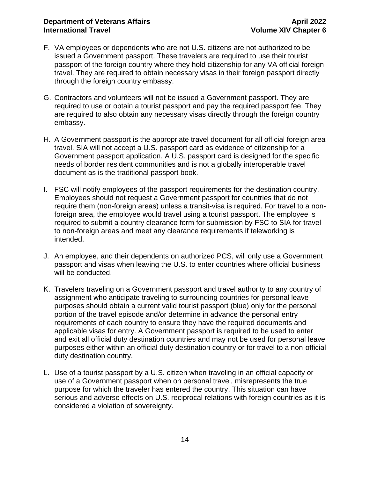#### **Department of Veterans Affairs April 2022 International Travel <b>Volume** XIV Chapter 6

- F. VA employees or dependents who are not U.S. citizens are not authorized to be issued a Government passport. These travelers are required to use their tourist passport of the foreign country where they hold citizenship for any VA official foreign travel. They are required to obtain necessary visas in their foreign passport directly through the foreign country embassy.
- G. Contractors and volunteers will not be issued a Government passport. They are required to use or obtain a tourist passport and pay the required passport fee. They are required to also obtain any necessary visas directly through the foreign country embassy.
- H. A Government passport is the appropriate travel document for all official foreign area travel. SIA will not accept a U.S. passport card as evidence of citizenship for a Government passport application. A U.S. passport card is designed for the specific needs of border resident communities and is not a globally interoperable travel document as is the traditional passport book.
- I. FSC will notify employees of the passport requirements for the destination country. Employees should not request a Government passport for countries that do not require them [\(non-foreign areas\)](#page-4-0) unless a [transit-visa](#page-16-1) is required. For travel to a nonforeign area, the employee would travel using a tourist passport. The employee is required to submit a country clearance form for submission by FSC to SIA for travel to non-foreign areas and meet any clearance requirements if teleworking is intended.
- J. An employee, and their dependents on authorized PCS, will only use a Government passport and visas when leaving the U.S. to enter countries where official business will be conducted.
- K. Travelers traveling on a Government passport and travel authority to any country of assignment who anticipate traveling to surrounding countries for personal leave purposes should obtain a current valid tourist passport (blue) only for the personal portion of the travel episode and/or determine in advance the personal entry requirements of each country to ensure they have the required documents and applicable visas for entry. A Government passport is required to be used to enter and exit all official duty destination countries and may not be used for personal leave purposes either within an official duty destination country or for travel to a non-official duty destination country.
- L. Use of a tourist passport by a U.S. citizen when traveling in an official capacity or use of a Government passport when on personal travel, misrepresents the true purpose for which the traveler has entered the country. This situation can have serious and adverse effects on U.S. reciprocal relations with foreign countries as it is considered a violation of sovereignty.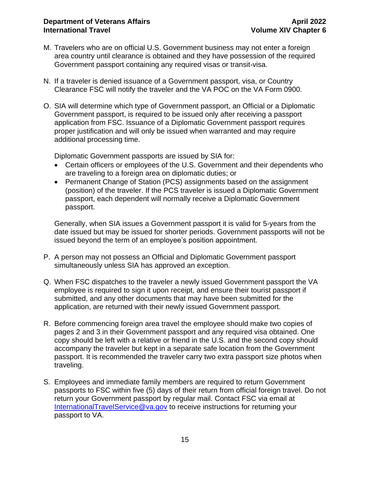- M. Travelers who are on official U.S. Government business may not enter a foreign area country until clearance is obtained and they have possession of the required Government passport containing any required visas or transit-visa.
- N. If a traveler is denied issuance of a Government passport, visa, or Country Clearance FSC will notify the traveler and the VA POC on the VA Form 0900.
- O. SIA will determine which type of Government passport, an Official or a Diplomatic Government passport, is required to be issued only after receiving a passport application from FSC. Issuance of a Diplomatic Government passport requires proper justification and will only be issued when warranted and may require additional processing time.

Diplomatic Government passports are issued by SIA for:

- Certain officers or employees of the U.S. Government and their dependents who are traveling to a foreign area on diplomatic duties; or
- Permanent Change of Station (PCS) assignments based on the assignment (position) of the traveler. If the PCS traveler is issued a Diplomatic Government passport, each dependent will normally receive a Diplomatic Government passport.

Generally, when SIA issues a Government passport it is valid for 5-years from the date issued but may be issued for shorter periods. Government passports will not be issued beyond the term of an employee's position appointment.

- P. A person may not possess an Official and Diplomatic Government passport simultaneously unless SIA has approved an exception.
- Q. When FSC dispatches to the traveler a newly issued Government passport the VA employee is required to sign it upon receipt, and ensure their tourist passport if submitted, and any other documents that may have been submitted for the application, are returned with their newly issued Government passport.
- R. Before commencing foreign area travel the employee should make two copies of pages 2 and 3 in their Government passport and any required visa obtained. One copy should be left with a relative or friend in the U.S. and the second copy should accompany the traveler but kept in a separate safe location from the Government passport. It is recommended the traveler carry two extra passport size photos when traveling.
- S. Employees and immediate family members are required to return Government passports to FSC within five (5) days of their return from official foreign travel. Do not return your Government passport by regular mail. Contact FSC via email at [InternationalTravelService@va.gov](mailto:InternationalTravelService@va.gov) to receive instructions for returning your passport to VA.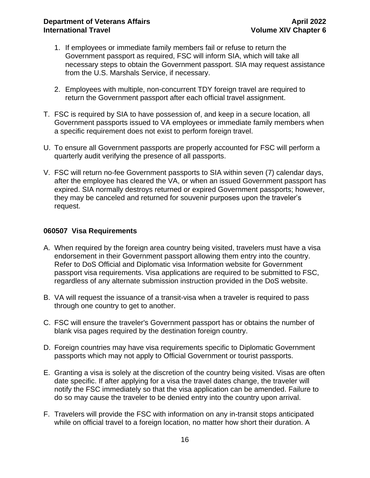- 1. If employees or immediate family members fail or refuse to return the Government passport as required, FSC will inform SIA, which will take all necessary steps to obtain the Government passport. SIA may request assistance from the U.S. Marshals Service, if necessary.
- 2. Employees with multiple, non-concurrent TDY foreign travel are required to return the Government passport after each official travel assignment.
- T. FSC is required by SIA to have possession of, and keep in a secure location, all Government passports issued to VA employees or immediate family members when a specific requirement does not exist to perform foreign travel.
- U. To ensure all Government passports are properly accounted for FSC will perform a quarterly audit verifying the presence of all passports.
- V. FSC will return no-fee Government passports to SIA within seven (7) calendar days, after the employee has cleared the VA, or when an issued Government passport has expired. SIA normally destroys returned or expired Government passports; however, they may be canceled and returned for souvenir purposes upon the traveler's request.

#### <span id="page-16-0"></span>**060507 Visa Requirements**

- A. When required by the foreign area country being visited, travelers must have a visa endorsement in their Government passport allowing them entry into the country. Refer to DoS Official and Diplomatic visa Information website for Government passport visa requirements. Visa applications are required to be submitted to FSC, regardless of any alternate submission instruction provided in the DoS website.
- B. VA will request the issuance of a transit-visa when a traveler is required to pass through one country to get to another.
- C. FSC will ensure the traveler's Government passport has or obtains the number of blank visa pages required by the destination foreign country.
- D. Foreign countries may have visa requirements specific to Diplomatic Government passports which may not apply to Official Government or tourist passports.
- E. Granting a visa is solely at the discretion of the country being visited. Visas are often date specific. If after applying for a visa the travel dates change, the traveler will notify the FSC immediately so that the visa application can be amended. Failure to do so may cause the traveler to be denied entry into the country upon arrival.
- <span id="page-16-1"></span>F. Travelers will provide the FSC with information on any in-transit stops anticipated while on official travel to a foreign location, no matter how short their duration. A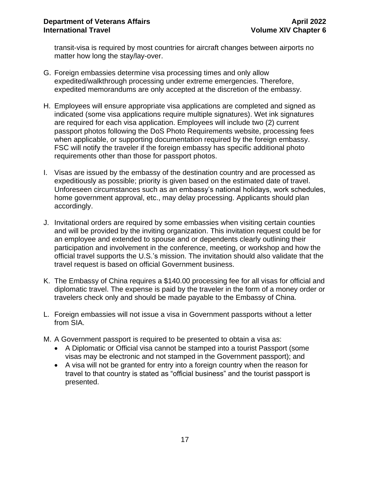transit-visa is required by most countries for aircraft changes between airports no matter how long the stay/lay-over.

- G. Foreign embassies determine visa processing times and only allow expedited/walkthrough processing under extreme emergencies. Therefore, expedited memorandums are only accepted at the discretion of the embassy.
- H. Employees will ensure appropriate visa applications are completed and signed as indicated (some visa applications require multiple signatures). Wet ink signatures are required for each visa application. Employees will include two (2) current passport photos following the DoS Photo Requirements website, processing fees when applicable, or supporting documentation required by the foreign embassy. FSC will notify the traveler if the foreign embassy has specific additional photo requirements other than those for passport photos.
- I. Visas are issued by the embassy of the destination country and are processed as expeditiously as possible; priority is given based on the estimated date of travel. Unforeseen circumstances such as an embassy's national holidays, work schedules, home government approval, etc., may delay processing. Applicants should plan accordingly.
- J. Invitational orders are required by some embassies when visiting certain counties and will be provided by the inviting organization. This invitation request could be for an employee and extended to spouse and or dependents clearly outlining their participation and involvement in the conference, meeting, or workshop and how the official travel supports the U.S.'s mission. The invitation should also validate that the travel request is based on official Government business.
- K. The Embassy of China requires a \$140.00 processing fee for all visas for official and diplomatic travel. The expense is paid by the traveler in the form of a money order or travelers check only and should be made payable to the Embassy of China.
- L. Foreign embassies will not issue a visa in Government passports without a letter from SIA.
- M. A Government passport is required to be presented to obtain a visa as:
	- A Diplomatic or Official visa cannot be stamped into a tourist Passport (some visas may be electronic and not stamped in the Government passport); and
	- A visa will not be granted for entry into a foreign country when the reason for travel to that country is stated as "official business" and the tourist passport is presented.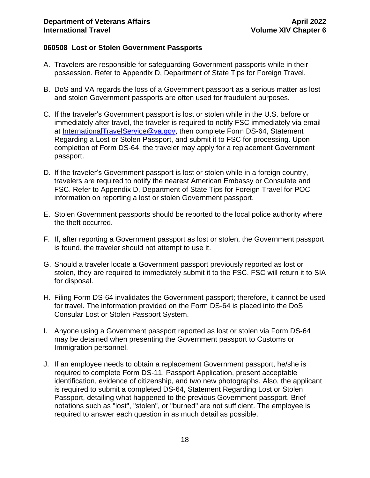#### <span id="page-18-0"></span>**060508 Lost or Stolen Government Passports**

- A. Travelers are responsible for safeguarding Government passports while in their possession. Refer to Appendix D, Department of State Tips for Foreign Travel.
- B. DoS and VA regards the loss of a Government passport as a serious matter as lost and stolen Government passports are often used for fraudulent purposes.
- C. If the traveler's Government passport is lost or stolen while in the U.S. before or immediately after travel, the traveler is required to notify FSC immediately via email at [InternationalTravelService@va.gov,](mailto:InternationalTravelService@va.gov) then complete Form DS-64, Statement Regarding a Lost or Stolen Passport, and submit it to FSC for processing. Upon completion of Form DS-64, the traveler may apply for a replacement Government passport.
- D. If the traveler's Government passport is lost or stolen while in a foreign country, travelers are required to notify the nearest American Embassy or Consulate and FSC. Refer to Appendix D, Department of State Tips for Foreign Travel for POC information on reporting a lost or stolen Government passport.
- E. Stolen Government passports should be reported to the local police authority where the theft occurred.
- F. If, after reporting a Government passport as lost or stolen, the Government passport is found, the traveler should not attempt to use it.
- G. Should a traveler locate a Government passport previously reported as lost or stolen, they are required to immediately submit it to the FSC. FSC will return it to SIA for disposal.
- H. Filing Form DS-64 invalidates the Government passport; therefore, it cannot be used for travel. The information provided on the Form DS-64 is placed into the DoS Consular Lost or Stolen Passport System.
- I. Anyone using a Government passport reported as lost or stolen via Form DS-64 may be detained when presenting the Government passport to Customs or Immigration personnel.
- J. If an employee needs to obtain a replacement Government passport, he/she is required to complete Form DS-11, Passport Application, present acceptable identification, evidence of citizenship, and two new photographs. Also, the applicant is required to submit a completed DS-64, Statement Regarding Lost or Stolen Passport, detailing what happened to the previous Government passport. Brief notations such as "lost", "stolen", or "burned" are not sufficient. The employee is required to answer each question in as much detail as possible.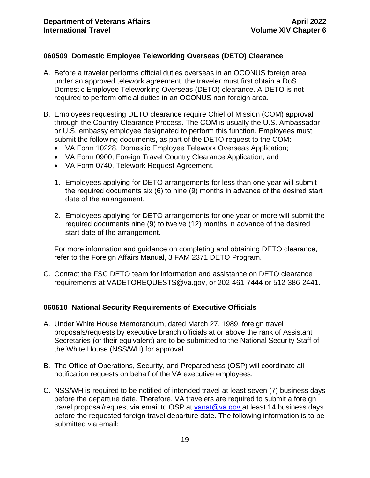#### <span id="page-19-0"></span>**060509 Domestic Employee Teleworking Overseas (DETO) Clearance**

- A. Before a traveler performs official duties overseas in an OCONUS foreign area under an approved telework agreement, the traveler must first obtain a DoS Domestic Employee Teleworking Overseas (DETO) clearance. A DETO is not required to perform official duties in an OCONUS non-foreign area.
- B. Employees requesting DETO clearance require Chief of Mission (COM) approval through the Country Clearance Process. The COM is usually the U.S. Ambassador or U.S. embassy employee designated to perform this function. Employees must submit the following documents, as part of the DETO request to the COM:
	- VA Form 10228, Domestic Employee Telework Overseas Application;
	- VA Form 0900, Foreign Travel Country Clearance Application; and
	- VA Form 0740, Telework Request Agreement.
	- 1. Employees applying for DETO arrangements for less than one year will submit the required documents six (6) to nine (9) months in advance of the desired start date of the arrangement.
	- 2. Employees applying for DETO arrangements for one year or more will submit the required documents nine (9) to twelve (12) months in advance of the desired start date of the arrangement.

For more information and guidance on completing and obtaining DETO clearance, refer to the Foreign Affairs Manual, 3 FAM 2371 DETO Program.

C. Contact the FSC DETO team for information and assistance on DETO clearance requirements at VADETOREQUESTS@va.gov, or 202-461-7444 or 512-386-2441.

#### <span id="page-19-1"></span>**060510 National Security Requirements of Executive Officials**

- A. Under White House Memorandum, dated March 27, 1989, foreign travel proposals/requests by executive branch officials at or above the rank of Assistant Secretaries (or their equivalent) are to be submitted to the National Security Staff of the White House (NSS/WH) for approval.
- B. The Office of Operations, Security, and Preparedness (OSP) will coordinate all notification requests on behalf of the VA executive employees.
- C. NSS/WH is required to be notified of intended travel at least seven (7) business days before the departure date. Therefore, VA travelers are required to submit a foreign travel proposal/request via email to OSP at [vanat@va.gov](mailto:vanat@va.gov) at least 14 business days before the requested foreign travel departure date. The following information is to be submitted via email: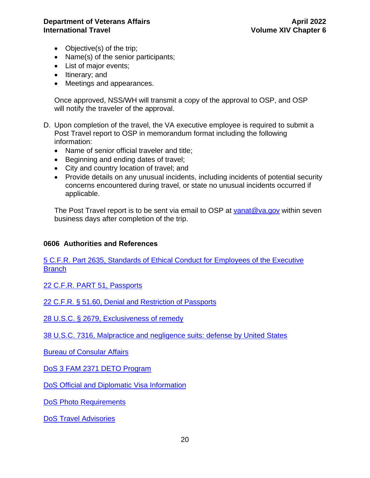#### **Department of Veterans Affairs April 2022 International Travel <b>Volume** XIV Chapter 6

- Objective(s) of the trip;
- Name(s) of the senior participants;
- List of major events;
- Itinerary; and
- Meetings and appearances.

Once approved, NSS/WH will transmit a copy of the approval to OSP, and OSP will notify the traveler of the approval.

- D. Upon completion of the travel, the VA executive employee is required to submit a Post Travel report to OSP in memorandum format including the following information:
	- Name of senior official traveler and title;
	- Beginning and ending dates of travel;
	- City and country location of travel; and
	- Provide details on any unusual incidents, including incidents of potential security concerns encountered during travel, or state no unusual incidents occurred if applicable.

The Post Travel report is to be sent via email to OSP at [vanat@va.gov](mailto:vanat@va.gov) within seven business days after completion of the trip.

#### <span id="page-20-0"></span>**0606 Authorities and References**

[5 C.F.R. Part 2635, Standards of Ethical Conduct for Employees of the Executive](https://www.gpo.gov/fdsys/pkg/CFR-2011-title5-vol3/pdf/CFR-2011-title5-vol3-part2635.pdf)  **[Branch](https://www.gpo.gov/fdsys/pkg/CFR-2011-title5-vol3/pdf/CFR-2011-title5-vol3-part2635.pdf)** 

[22 C.F.R. PART 51, Passports](https://ecfr.io/Title-22/cfr51_main)

[22 C.F.R. § 51.60, Denial and Restriction of Passports](https://ecfr.io/Title-22/se22.1.51_160)

[28 U.S.C. § 2679, Exclusiveness of remedy](https://uscode.house.gov/view.xhtml?req=granuleid:USC-prelim-title28-section2679&num=0&edition=prelim)

[38 U.S.C. 7316, Malpractice and negligence suits: defense by United States](https://uscode.house.gov/view.xhtml?req=granuleid:USC-prelim-title38-section7316&num=0&edition=prelim)

[Bureau of Consular Affairs](https://travel.state.gov/content/travel/en/contact-us/Emergencies-Abroad.html)

[DoS 3 FAM 2371 DETO Program](https://fam.state.gov/fam/03fam/03fam2370.html)

[DoS Official and Diplomatic Visa](https://travel.state.gov/content/special-issuance-agency-home/en/spec-issuance-agency/official-diplomatic-visa-information.html) Information

[DoS Photo Requirements](https://travel.state.gov/content/travel/en/passports/requirements/photos.html)

[DoS Travel Advisories](https://travel.state.gov/content/travel/en/traveladvisories/traveladvisories.html)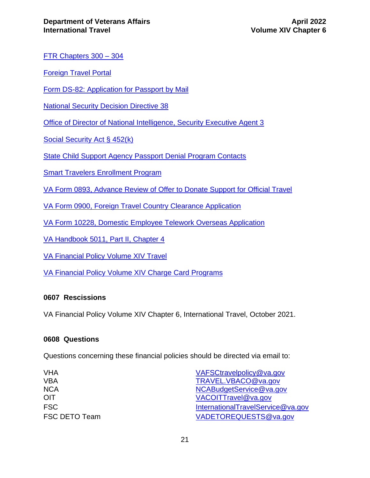[FTR Chapters 300 –](https://www.gpo.gov/fdsys/pkg/CFR-2011-title41-vol4/pdf/CFR-2011-title41-vol4-subtitleF.pdf) 304

[Foreign Travel Portal](http://vaww.oaa.med.va.gov/ForeignTravel/)

[Form DS-82: Application for Passport by Mail](https://pptform.state.gov/)

[National Security Decision Directive 38](https://2009-2017.state.gov/m/pri/nsdd/45148.htm)

[Office of Director of National Intelligence, Security Executive Agent 3](https://www.dni.gov/files/NCSC/documents/Regulations/SEAD-3-Reporting-U.pdf)

[Social Security Act § 452\(k\)](https://www.ssa.gov/OP_Home/ssact/title04/0452.htm)

[State Child Support Agency Passport Denial Program Contacts](https://www.acf.hhs.gov/css/resource/state-child-support-agency-passport-denial-program-contacts)

[Smart Travelers Enrollment Program](https://travelregistration.state.gov/)

[VA Form 0893, Advance Review of Offer to Donate Support for Official Travel](https://vaww.va.gov/vaforms/va/pdf/VA0893.pdf)

[VA Form 0900, Foreign Travel Country Clearance Application](https://vaww.va.gov/vaforms/va/pdf/VA0900.pdf)

[VA Form 10228, Domestic Employee Telework Overseas Application](https://vaww.va.gov/vaforms/)

[VA Handbook 5011, Part II, Chapter 4](https://vaww.va.gov/OHRM/Directives-Handbooks/Documents/5011.pdf)

[VA Financial Policy Volume XIV Travel](https://www.va.gov/finance/policy/pubs/volumeXIV.asp)

[VA Financial Policy Volume XIV Charge Card Programs](https://www.va.gov/finance/policy/pubs/volumeXVI.asp)

#### <span id="page-21-0"></span>**0607 Rescissions**

VA Financial Policy Volume XIV Chapter 6, International Travel, October 2021.

#### <span id="page-21-1"></span>**0608 Questions**

Questions concerning these financial policies should be directed via email to:

| VHA           | VAFSCtravelpolicy@va.gov          |
|---------------|-----------------------------------|
| VBA           | TRAVEL.VBACO@va.gov               |
| <b>NCA</b>    | NCABudgetService@va.gov           |
| OIT           | VACOITTravel@va.gov               |
| <b>FSC</b>    | InternationalTravelService@va.gov |
| FSC DETO Team | VADETOREQUESTS@va.gov             |
|               |                                   |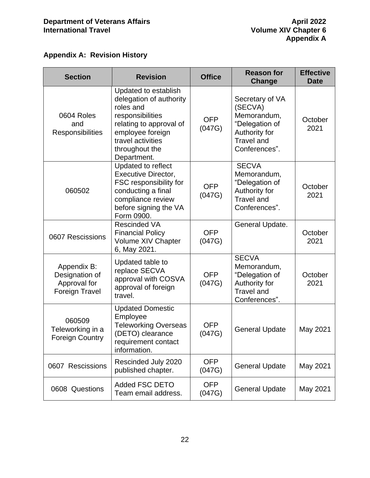### <span id="page-22-0"></span>**Appendix A: Revision History**

| <b>Section</b>                                                         | <b>Revision</b>                                                                                                                                                                       | <b>Office</b>        | <b>Reason for</b><br><b>Change</b>                                                                                 | <b>Effective</b><br><b>Date</b> |
|------------------------------------------------------------------------|---------------------------------------------------------------------------------------------------------------------------------------------------------------------------------------|----------------------|--------------------------------------------------------------------------------------------------------------------|---------------------------------|
| 0604 Roles<br>and<br>Responsibilities                                  | Updated to establish<br>delegation of authority<br>roles and<br>responsibilities<br>relating to approval of<br>employee foreign<br>travel activities<br>throughout the<br>Department. | <b>OFP</b><br>(047G) | Secretary of VA<br>(SECVA)<br>Memorandum,<br>"Delegation of<br>Authority for<br><b>Travel and</b><br>Conferences". | October<br>2021                 |
| 060502                                                                 | Updated to reflect<br><b>Executive Director,</b><br>FSC responsibility for<br>conducting a final<br>compliance review<br>before signing the VA<br>Form 0900.                          | <b>OFP</b><br>(047G) | <b>SECVA</b><br>Memorandum,<br>"Delegation of<br>Authority for<br><b>Travel and</b><br>Conferences".               | October<br>2021                 |
| 0607 Rescissions                                                       | <b>Rescinded VA</b><br><b>Financial Policy</b><br>Volume XIV Chapter<br>6, May 2021.                                                                                                  | <b>OFP</b><br>(047G) | General Update.                                                                                                    | October<br>2021                 |
| Appendix B:<br>Designation of<br>Approval for<br><b>Foreign Travel</b> | Updated table to<br>replace SECVA<br>approval with COSVA<br>approval of foreign<br>travel.                                                                                            | <b>OFP</b><br>(047G) | <b>SECVA</b><br>Memorandum,<br>"Delegation of<br>Authority for<br><b>Travel and</b><br>Conferences".               | October<br>2021                 |
| 060509<br>Teleworking in a<br><b>Foreign Country</b>                   | <b>Updated Domestic</b><br>Employee<br><b>Teleworking Overseas</b><br>(DETO) clearance<br>requirement contact<br>information.                                                         | <b>OFP</b><br>(047G) | <b>General Update</b>                                                                                              | May 2021                        |
| 0607 Rescissions                                                       | Rescinded July 2020<br>published chapter.                                                                                                                                             | <b>OFP</b><br>(047G) | <b>General Update</b>                                                                                              | May 2021                        |
| 0608 Questions                                                         | <b>Added FSC DETO</b><br>Team email address.                                                                                                                                          | <b>OFP</b><br>(047G) | <b>General Update</b>                                                                                              | May 2021                        |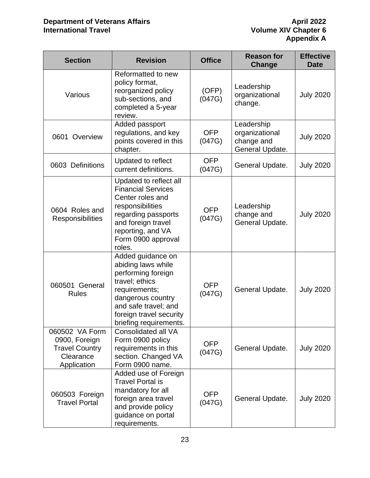| <b>Section</b>                                                                       | <b>Revision</b>                                                                                                                                                                                    | <b>Office</b>        | <b>Reason for</b><br>Change                                   | <b>Effective</b><br><b>Date</b> |
|--------------------------------------------------------------------------------------|----------------------------------------------------------------------------------------------------------------------------------------------------------------------------------------------------|----------------------|---------------------------------------------------------------|---------------------------------|
| Various                                                                              | Reformatted to new<br>policy format,<br>reorganized policy<br>sub-sections, and<br>completed a 5-year<br>review.                                                                                   | (OFP)<br>(047G)      | Leadership<br>organizational<br>change.                       | <b>July 2020</b>                |
| 0601 Overview                                                                        | Added passport<br>regulations, and key<br>points covered in this<br>chapter.                                                                                                                       | <b>OFP</b><br>(047G) | Leadership<br>organizational<br>change and<br>General Update. | <b>July 2020</b>                |
| 0603 Definitions                                                                     | Updated to reflect<br>current definitions.                                                                                                                                                         | <b>OFP</b><br>(047G) | General Update.                                               | <b>July 2020</b>                |
| 0604 Roles and<br>Responsibilities                                                   | Updated to reflect all<br><b>Financial Services</b><br>Center roles and<br>responsibilities<br>regarding passports<br>and foreign travel<br>reporting, and VA<br>Form 0900 approval<br>roles.      | <b>OFP</b><br>(047G) | Leadership<br>change and<br>General Update.                   | <b>July 2020</b>                |
| 060501 General<br><b>Rules</b>                                                       | Added guidance on<br>abiding laws while<br>performing foreign<br>travel; ethics<br>requirements;<br>dangerous country<br>and safe travel; and<br>foreign travel security<br>briefing requirements. | <b>OFP</b><br>(047G) | General Update.                                               | <b>July 2020</b>                |
| 060502 VA Form<br>0900, Foreign<br><b>Travel Country</b><br>Clearance<br>Application | <b>Consolidated all VA</b><br>Form 0900 policy<br>requirements in this<br>section. Changed VA<br>Form 0900 name.                                                                                   | <b>OFP</b><br>(047G) | General Update.                                               | <b>July 2020</b>                |
| 060503 Foreign<br><b>Travel Portal</b>                                               | Added use of Foreign<br><b>Travel Portal is</b><br>mandatory for all<br>foreign area travel<br>and provide policy<br>guidance on portal<br>requirements.                                           | <b>OFP</b><br>(047G) | General Update.                                               | <b>July 2020</b>                |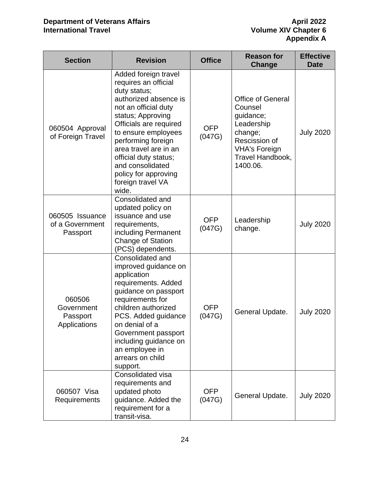| <b>Section</b>                                   | <b>Revision</b>                                                                                                                                                                                                                                                                                                                       | <b>Office</b>        | <b>Reason for</b><br><b>Change</b>                                                                                                                 | <b>Effective</b><br><b>Date</b> |
|--------------------------------------------------|---------------------------------------------------------------------------------------------------------------------------------------------------------------------------------------------------------------------------------------------------------------------------------------------------------------------------------------|----------------------|----------------------------------------------------------------------------------------------------------------------------------------------------|---------------------------------|
| 060504 Approval<br>of Foreign Travel             | Added foreign travel<br>requires an official<br>duty status;<br>authorized absence is<br>not an official duty<br>status; Approving<br>Officials are required<br>to ensure employees<br>performing foreign<br>area travel are in an<br>official duty status;<br>and consolidated<br>policy for approving<br>foreign travel VA<br>wide. | <b>OFP</b><br>(047G) | <b>Office of General</b><br>Counsel<br>guidance;<br>Leadership<br>change;<br>Rescission of<br><b>VHA's Foreign</b><br>Travel Handbook,<br>1400.06. | <b>July 2020</b>                |
| 060505 Issuance<br>of a Government<br>Passport   | Consolidated and<br>updated policy on<br>issuance and use<br>requirements,<br>including Permanent<br><b>Change of Station</b><br>(PCS) dependents.                                                                                                                                                                                    | <b>OFP</b><br>(047G) | Leadership<br>change.                                                                                                                              | <b>July 2020</b>                |
| 060506<br>Government<br>Passport<br>Applications | Consolidated and<br>improved guidance on<br>application<br>requirements. Added<br>guidance on passport<br>requirements for<br>children authorized<br>PCS. Added guidance<br>on denial of a<br>Government passport<br>including guidance on<br>an employee in<br>arrears on child<br>support.                                          | <b>OFP</b><br>(047G) | General Update.                                                                                                                                    | <b>July 2020</b>                |
| 060507 Visa<br>Requirements                      | Consolidated visa<br>requirements and<br>updated photo<br>guidance. Added the<br>requirement for a<br>transit-visa.                                                                                                                                                                                                                   | <b>OFP</b><br>(047G) | General Update.                                                                                                                                    | <b>July 2020</b>                |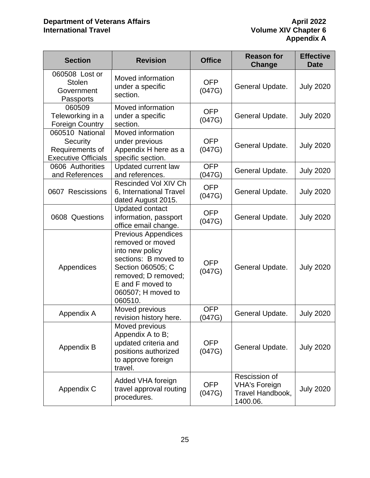| <b>Section</b>                                                               | <b>Revision</b>                                                                                                                                                                            | <b>Office</b>        | <b>Reason for</b><br>Change                                           | <b>Effective</b><br><b>Date</b> |
|------------------------------------------------------------------------------|--------------------------------------------------------------------------------------------------------------------------------------------------------------------------------------------|----------------------|-----------------------------------------------------------------------|---------------------------------|
| 060508 Lost or<br><b>Stolen</b><br>Government<br>Passports                   | Moved information<br>under a specific<br>section.                                                                                                                                          | <b>OFP</b><br>(047G) | General Update.                                                       |                                 |
| 060509<br>Teleworking in a<br><b>Foreign Country</b>                         | Moved information<br>under a specific<br>section.                                                                                                                                          | <b>OFP</b><br>(047G) | General Update.                                                       | <b>July 2020</b>                |
| 060510 National<br>Security<br>Requirements of<br><b>Executive Officials</b> | Moved information<br>under previous<br>Appendix H here as a<br>specific section.                                                                                                           | <b>OFP</b><br>(047G) | General Update.                                                       | <b>July 2020</b>                |
| 0606 Authorities<br>and References                                           | Updated current law<br>and references.                                                                                                                                                     | <b>OFP</b><br>(047G) | General Update.                                                       | <b>July 2020</b>                |
| 0607 Rescissions                                                             | Rescinded Vol XIV Ch<br>6, International Travel<br>dated August 2015.                                                                                                                      | <b>OFP</b><br>(047G) | General Update.                                                       |                                 |
| 0608 Questions                                                               | <b>Updated contact</b><br>information, passport<br>office email change.                                                                                                                    | <b>OFP</b><br>(047G) | General Update.                                                       | <b>July 2020</b>                |
| Appendices                                                                   | <b>Previous Appendices</b><br>removed or moved<br>into new policy<br>sections: B moved to<br>Section 060505; C<br>removed; D removed;<br>E and F moved to<br>060507; H moved to<br>060510. | <b>OFP</b><br>(047G) | General Update.                                                       | <b>July 2020</b>                |
| Appendix A                                                                   | Moved previous<br>revision history here.                                                                                                                                                   | <b>OFP</b><br>(047G) | General Update.                                                       | <b>July 2020</b>                |
| Appendix B                                                                   | Moved previous<br>Appendix A to B;<br>updated criteria and<br>positions authorized<br>to approve foreign<br>travel.                                                                        | <b>OFP</b><br>(047G) | General Update.                                                       | <b>July 2020</b>                |
| Appendix C                                                                   | Added VHA foreign<br>travel approval routing<br>procedures.                                                                                                                                | <b>OFP</b><br>(047G) | Rescission of<br><b>VHA's Foreign</b><br>Travel Handbook,<br>1400.06. | <b>July 2020</b>                |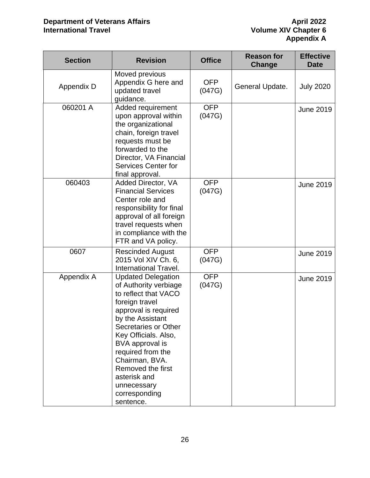| <b>Section</b> | <b>Revision</b>                                                                                                                                                                                                                                                                                                                      | <b>Office</b>        | <b>Reason for</b><br>Change | <b>Effective</b><br><b>Date</b> |
|----------------|--------------------------------------------------------------------------------------------------------------------------------------------------------------------------------------------------------------------------------------------------------------------------------------------------------------------------------------|----------------------|-----------------------------|---------------------------------|
| Appendix D     | Moved previous<br>Appendix G here and<br>updated travel<br>guidance.                                                                                                                                                                                                                                                                 | <b>OFP</b><br>(047G) | General Update.             | <b>July 2020</b>                |
| 060201 A       | Added requirement<br>upon approval within<br>the organizational<br>chain, foreign travel<br>requests must be<br>forwarded to the<br>Director, VA Financial<br>Services Center for<br>final approval.                                                                                                                                 | <b>OFP</b><br>(047G) |                             | <b>June 2019</b>                |
| 060403         | Added Director, VA<br><b>Financial Services</b><br>Center role and<br>responsibility for final<br>approval of all foreign<br>travel requests when<br>in compliance with the<br>FTR and VA policy.                                                                                                                                    | <b>OFP</b><br>(047G) |                             | <b>June 2019</b>                |
| 0607           | <b>Rescinded August</b><br>2015 Vol XIV Ch. 6,<br>International Travel.                                                                                                                                                                                                                                                              | <b>OFP</b><br>(047G) |                             | <b>June 2019</b>                |
| Appendix A     | <b>Updated Delegation</b><br>of Authority verbiage<br>to reflect that VACO<br>foreign travel<br>approval is required<br>by the Assistant<br>Secretaries or Other<br>Key Officials. Also,<br>BVA approval is<br>required from the<br>Chairman, BVA.<br>Removed the first<br>asterisk and<br>unnecessary<br>corresponding<br>sentence. | <b>OFP</b><br>(047G) |                             | <b>June 2019</b>                |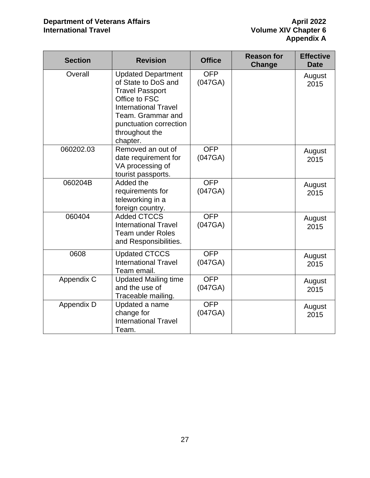| <b>Section</b> | <b>Revision</b>                                                                                                                                                                                         | <b>Office</b>         | <b>Reason for</b><br>Change | <b>Effective</b><br><b>Date</b> |
|----------------|---------------------------------------------------------------------------------------------------------------------------------------------------------------------------------------------------------|-----------------------|-----------------------------|---------------------------------|
| Overall        | <b>Updated Department</b><br>of State to DoS and<br><b>Travel Passport</b><br>Office to FSC<br><b>International Travel</b><br>Team. Grammar and<br>punctuation correction<br>throughout the<br>chapter. | <b>OFP</b><br>(047GA) |                             | August<br>2015                  |
| 060202.03      | Removed an out of<br>date requirement for<br>VA processing of<br>tourist passports.                                                                                                                     | <b>OFP</b><br>(047GA) |                             | August<br>2015                  |
| 060204B        | Added the<br>requirements for<br>teleworking in a<br>foreign country.                                                                                                                                   | <b>OFP</b><br>(047GA) |                             | August<br>2015                  |
| 060404         | <b>Added CTCCS</b><br><b>International Travel</b><br><b>Team under Roles</b><br>and Responsibilities.                                                                                                   | <b>OFP</b><br>(047GA) |                             | August<br>2015                  |
| 0608           | <b>Updated CTCCS</b><br><b>International Travel</b><br>Team email.                                                                                                                                      | <b>OFP</b><br>(047GA) |                             | August<br>2015                  |
| Appendix C     | <b>Updated Mailing time</b><br>and the use of<br>Traceable mailing.                                                                                                                                     | <b>OFP</b><br>(047GA) |                             | August<br>2015                  |
| Appendix D     | Updated a name<br>change for<br><b>International Travel</b><br>Team.                                                                                                                                    | <b>OFP</b><br>(047GA) |                             | August<br>2015                  |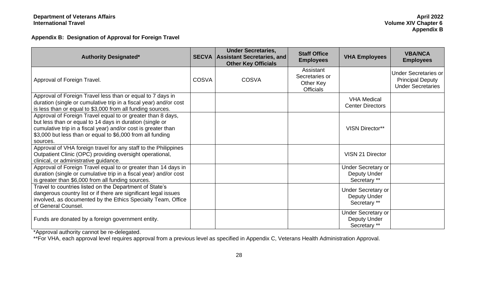**Appendix B: Designation of Approval for Foreign Travel**

<span id="page-28-0"></span>

| <b>Authority Designated*</b>                                                                                                                                                                                                                                       |              | <b>Under Secretaries,</b><br><b>SECVA Assistant Secretaries, and</b><br><b>Other Key Officials</b> | <b>Staff Office</b><br><b>Employees</b>                      | <b>VHA Employees</b>                                             | <b>VBA/NCA</b><br><b>Employees</b>                                                 |
|--------------------------------------------------------------------------------------------------------------------------------------------------------------------------------------------------------------------------------------------------------------------|--------------|----------------------------------------------------------------------------------------------------|--------------------------------------------------------------|------------------------------------------------------------------|------------------------------------------------------------------------------------|
| Approval of Foreign Travel.                                                                                                                                                                                                                                        | <b>COSVA</b> | <b>COSVA</b>                                                                                       | Assistant<br>Secretaries or<br>Other Key<br><b>Officials</b> |                                                                  | <b>Under Secretaries or</b><br><b>Principal Deputy</b><br><b>Under Secretaries</b> |
| Approval of Foreign Travel less than or equal to 7 days in<br>duration (single or cumulative trip in a fiscal year) and/or cost<br>is less than or equal to \$3,000 from all funding sources.                                                                      |              |                                                                                                    |                                                              | <b>VHA Medical</b><br><b>Center Directors</b>                    |                                                                                    |
| Approval of Foreign Travel equal to or greater than 8 days,<br>but less than or equal to 14 days in duration (single or<br>cumulative trip in a fiscal year) and/or cost is greater than<br>\$3,000 but less than or equal to \$6,000 from all funding<br>sources. |              |                                                                                                    |                                                              | <b>VISN Director**</b>                                           |                                                                                    |
| Approval of VHA foreign travel for any staff to the Philippines<br>Outpatient Clinic (OPC) providing oversight operational,<br>clinical, or administrative guidance.                                                                                               |              |                                                                                                    |                                                              | <b>VISN 21 Director</b>                                          |                                                                                    |
| Approval of Foreign Travel equal to or greater than 14 days in<br>duration (single or cumulative trip in a fiscal year) and/or cost<br>is greater than \$6,000 from all funding sources.                                                                           |              |                                                                                                    |                                                              | <b>Under Secretary or</b><br><b>Deputy Under</b><br>Secretary ** |                                                                                    |
| Travel to countries listed on the Department of State's<br>dangerous country list or if there are significant legal issues<br>involved, as documented by the Ethics Specialty Team, Office<br>of General Counsel.                                                  |              |                                                                                                    |                                                              | <b>Under Secretary or</b><br>Deputy Under<br>Secretary **        |                                                                                    |
| Funds are donated by a foreign government entity.                                                                                                                                                                                                                  |              |                                                                                                    |                                                              | Under Secretary or<br>Deputy Under<br>Secretary **               |                                                                                    |

\*Approval authority cannot be re-delegated.

\*\*For VHA, each approval level requires approval from a previous level as specified in Appendix C, Veterans Health Administration Approval.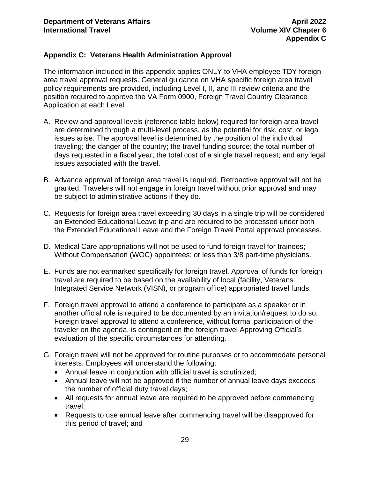#### <span id="page-29-0"></span>**Appendix C: Veterans Health Administration Approval**

The information included in this appendix applies ONLY to VHA employee TDY foreign area travel approval requests. General guidance on VHA specific foreign area travel policy requirements are provided, including Level I, II, and III review criteria and the position required to approve the VA Form 0900, Foreign Travel Country Clearance Application at each Level.

- A. Review and approval levels (reference table below) required for foreign area travel are determined through a multi-level process, as the potential for risk, cost, or legal issues arise. The approval level is determined by the position of the individual traveling; the danger of the country; the travel funding source; the total number of days requested in a fiscal year; the total cost of a single travel request; and any legal issues associated with the travel.
- B. Advance approval of foreign area travel is required. Retroactive approval will not be granted. Travelers will not engage in foreign travel without prior approval and may be subject to administrative actions if they do.
- C. Requests for foreign area travel exceeding 30 days in a single trip will be considered an Extended Educational Leave trip and are required to be processed under both the Extended Educational Leave and the Foreign Travel Portal approval processes.
- D. Medical Care appropriations will not be used to fund foreign travel for trainees; Without Compensation (WOC) appointees; or less than 3/8 part-time physicians.
- E. Funds are not earmarked specifically for foreign travel. Approval of funds for foreign travel are required to be based on the availability of local (facility, Veterans Integrated Service Network (VISN), or program office) appropriated travel funds.
- F. Foreign travel approval to attend a conference to participate as a speaker or in another official role is required to be documented by an invitation/request to do so. Foreign travel approval to attend a conference, without formal participation of the traveler on the agenda, is contingent on the foreign travel Approving Official's evaluation of the specific circumstances for attending.
- G. Foreign travel will not be approved for routine purposes or to accommodate personal interests. Employees will understand the following:
	- Annual leave in conjunction with official travel is scrutinized;
	- Annual leave will not be approved if the number of annual leave days exceeds the number of official duty travel days;
	- All requests for annual leave are required to be approved before commencing travel;
	- Requests to use annual leave after commencing travel will be disapproved for this period of travel; and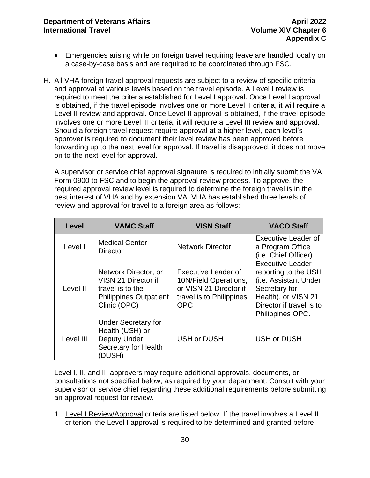- Emergencies arising while on foreign travel requiring leave are handled locally on a case-by-case basis and are required to be coordinated through FSC.
- H. All VHA foreign travel approval requests are subject to a review of specific criteria and approval at various levels based on the travel episode. A Level I review is required to meet the criteria established for Level I approval. Once Level I approval is obtained, if the travel episode involves one or more Level II criteria, it will require a Level II review and approval. Once Level II approval is obtained, if the travel episode involves one or more Level III criteria, it will require a Level III review and approval. Should a foreign travel request require approval at a higher level, each level's approver is required to document their level review has been approved before forwarding up to the next level for approval. If travel is disapproved, it does not move on to the next level for approval.

A supervisor or service chief approval signature is required to initially submit the VA Form 0900 to FSC and to begin the approval review process. To approve, the required approval review level is required to determine the foreign travel is in the best interest of VHA and by extension VA. VHA has established three levels of review and approval for travel to a foreign area as follows:

| <b>Level</b> | <b>VAMC Staff</b>                                                                                                | <b>VISN Staff</b>                                                                                                | <b>VACO Staff</b>                                                                                                                                                |
|--------------|------------------------------------------------------------------------------------------------------------------|------------------------------------------------------------------------------------------------------------------|------------------------------------------------------------------------------------------------------------------------------------------------------------------|
| Level I      | <b>Medical Center</b><br><b>Director</b>                                                                         | <b>Network Director</b>                                                                                          | <b>Executive Leader of</b><br>a Program Office<br>(i.e. Chief Officer)                                                                                           |
| Level II     | Network Director, or<br>VISN 21 Director if<br>travel is to the<br><b>Philippines Outpatient</b><br>Clinic (OPC) | Executive Leader of<br>10N/Field Operations,<br>or VISN 21 Director if<br>travel is to Philippines<br><b>OPC</b> | <b>Executive Leader</b><br>reporting to the USH<br>(i.e. Assistant Under<br>Secretary for<br>Health), or VISN 21<br>Director if travel is to<br>Philippines OPC. |
| Level III    | <b>Under Secretary for</b><br>Health (USH) or<br><b>Deputy Under</b><br>Secretary for Health<br>(DUSH)           | <b>USH or DUSH</b>                                                                                               | <b>USH or DUSH</b>                                                                                                                                               |

Level I, II, and III approvers may require additional approvals, documents, or consultations not specified below, as required by your department. Consult with your supervisor or service chief regarding these additional requirements before submitting an approval request for review.

1. Level I Review/Approval criteria are listed below. If the travel involves a Level II criterion, the Level I approval is required to be determined and granted before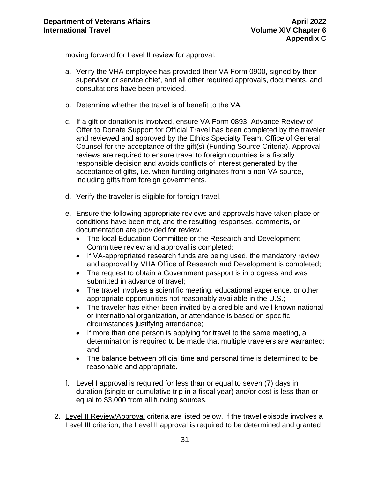moving forward for Level II review for approval.

- a. Verify the VHA employee has provided their VA Form 0900, signed by their supervisor or service chief, and all other required approvals, documents, and consultations have been provided.
- b. Determine whether the travel is of benefit to the VA.
- c. If a gift or donation is involved, ensure VA Form 0893, Advance Review of Offer to Donate Support for Official Travel has been completed by the traveler and reviewed and approved by the Ethics Specialty Team, Office of General Counsel for the acceptance of the gift(s) (Funding Source Criteria). Approval reviews are required to ensure travel to foreign countries is a fiscally responsible decision and avoids conflicts of interest generated by the acceptance of gifts, i.e. when funding originates from a non-VA source, including gifts from foreign governments.
- d. Verify the traveler is eligible for foreign travel.
- e. Ensure the following appropriate reviews and approvals have taken place or conditions have been met, and the resulting responses, comments, or documentation are provided for review:
	- The local Education Committee or the Research and Development Committee review and approval is completed;
	- If VA-appropriated research funds are being used, the mandatory review and approval by VHA Office of Research and Development is completed;
	- The request to obtain a Government passport is in progress and was submitted in advance of travel;
	- The travel involves a scientific meeting, educational experience, or other appropriate opportunities not reasonably available in the U.S.;
	- The traveler has either been invited by a credible and well-known national or international organization, or attendance is based on specific circumstances justifying attendance;
	- If more than one person is applying for travel to the same meeting, a determination is required to be made that multiple travelers are warranted; and
	- The balance between official time and personal time is determined to be reasonable and appropriate.
- f. Level I approval is required for less than or equal to seven (7) days in duration (single or cumulative trip in a fiscal year) and/or cost is less than or equal to \$3,000 from all funding sources.
- 2. Level II Review/Approval criteria are listed below. If the travel episode involves a Level III criterion, the Level II approval is required to be determined and granted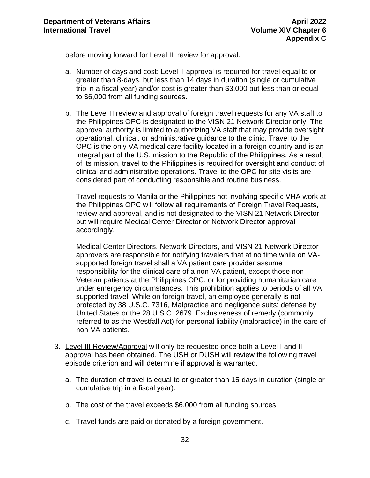before moving forward for Level III review for approval.

- a. Number of days and cost: Level II approval is required for travel equal to or greater than 8-days, but less than 14 days in duration (single or cumulative trip in a fiscal year) and/or cost is greater than \$3,000 but less than or equal to \$6,000 from all funding sources.
- b. The Level II review and approval of foreign travel requests for any VA staff to the Philippines OPC is designated to the VISN 21 Network Director only. The approval authority is limited to authorizing VA staff that may provide oversight operational, clinical, or administrative guidance to the clinic. Travel to the OPC is the only VA medical care facility located in a foreign country and is an integral part of the U.S. mission to the Republic of the Philippines. As a result of its mission, travel to the Philippines is required for oversight and conduct of clinical and administrative operations. Travel to the OPC for site visits are considered part of conducting responsible and routine business.

Travel requests to Manila or the Philippines not involving specific VHA work at the Philippines OPC will follow all requirements of Foreign Travel Requests, review and approval, and is not designated to the VISN 21 Network Director but will require Medical Center Director or Network Director approval accordingly.

Medical Center Directors, Network Directors, and VISN 21 Network Director approvers are responsible for notifying travelers that at no time while on VAsupported foreign travel shall a VA patient care provider assume responsibility for the clinical care of a non-VA patient, except those non-Veteran patients at the Philippines OPC, or for providing humanitarian care under emergency circumstances. This prohibition applies to periods of all VA supported travel. While on foreign travel, an employee generally is not protected by 38 U.S.C. 7316, Malpractice and negligence suits: defense by United States or the 28 U.S.C. 2679, Exclusiveness of remedy (commonly referred to as the Westfall Act) for personal liability (malpractice) in the care of non-VA patients.

- 3. Level III Review/Approval will only be requested once both a Level I and II approval has been obtained. The USH or DUSH will review the following travel episode criterion and will determine if approval is warranted.
	- a. The duration of travel is equal to or greater than 15-days in duration (single or cumulative trip in a fiscal year).
	- b. The cost of the travel exceeds \$6,000 from all funding sources.
	- c. Travel funds are paid or donated by a foreign government.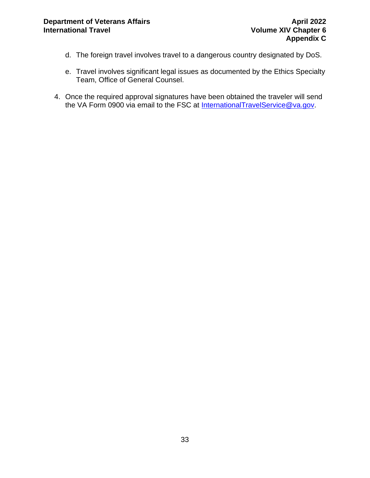- d. The foreign travel involves travel to a dangerous country designated by DoS.
- e. Travel involves significant legal issues as documented by the Ethics Specialty Team, Office of General Counsel.
- 4. Once the required approval signatures have been obtained the traveler will send the VA Form 0900 via email to the FSC at [InternationalTravelService@va.gov.](mailto:InternationalTravelService@va.gov)